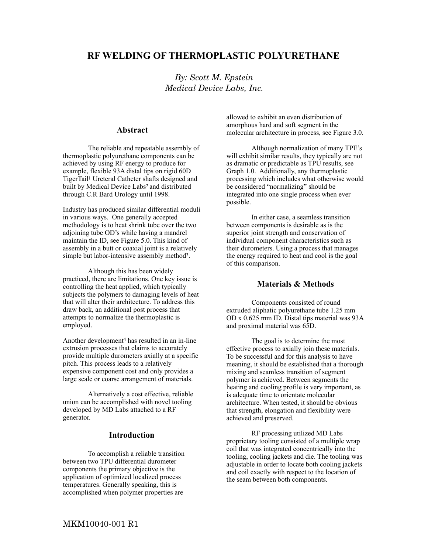# **RF WELDING OF THERMOPLASTIC POLYURETHANE**

*By: Scott M. Epstein Medical Device Labs, Inc.* 

#### **Abstract**

The reliable and repeatable assembly of thermoplastic polyurethane components can be achieved by using RF energy to produce for example, flexible 93A distal tips on rigid 60D TigerTail1 Ureteral Catheter shafts designed and built by Medical Device Labs2 and distributed through C.R Bard Urology until 1998.

Industry has produced similar differential moduli in various ways. One generally accepted methodology is to heat shrink tube over the two adjoining tube OD's while having a mandrel maintain the ID, see Figure 5.0. This kind of assembly in a butt or coaxial joint is a relatively simple but labor-intensive assembly method3.

 Although this has been widely practiced, there are limitations. One key issue is controlling the heat applied, which typically subjects the polymers to damaging levels of heat that will alter their architecture. To address this draw back, an additional post process that attempts to normalize the thermoplastic is employed.

Another development4 has resulted in an in-line extrusion processes that claims to accurately provide multiple durometers axially at a specific pitch. This process leads to a relatively expensive component cost and only provides a large scale or coarse arrangement of materials.

Alternatively a cost effective, reliable union can be accomplished with novel tooling developed by MD Labs attached to a RF generator.

#### **Introduction**

To accomplish a reliable transition between two TPU differential durometer components the primary objective is the application of optimized localized process temperatures. Generally speaking, this is accomplished when polymer properties are

allowed to exhibit an even distribution of amorphous hard and soft segment in the molecular architecture in process, see Figure 3.0.

Although normalization of many TPE's will exhibit similar results, they typically are not as dramatic or predictable as TPU results, see Graph 1.0. Additionally, any thermoplastic processing which includes what otherwise would be considered "normalizing" should be integrated into one single process when ever possible.

In either case, a seamless transition between components is desirable as is the superior joint strength and conservation of individual component characteristics such as their durometers. Using a process that manages the energy required to heat and cool is the goal of this comparison.

### **Materials & Methods**

Components consisted of round extruded aliphatic polyurethane tube 1.25 mm OD x 0.625 mm ID. Distal tips material was 93A and proximal material was 65D.

The goal is to determine the most effective process to axially join these materials. To be successful and for this analysis to have meaning, it should be established that a thorough mixing and seamless transition of segment polymer is achieved. Between segments the heating and cooling profile is very important, as is adequate time to orientate molecular architecture. When tested, it should be obvious that strength, elongation and flexibility were achieved and preserved.

RF processing utilized MD Labs proprietary tooling consisted of a multiple wrap coil that was integrated concentrically into the tooling, cooling jackets and die. The tooling was adjustable in order to locate both cooling jackets and coil exactly with respect to the location of the seam between both components.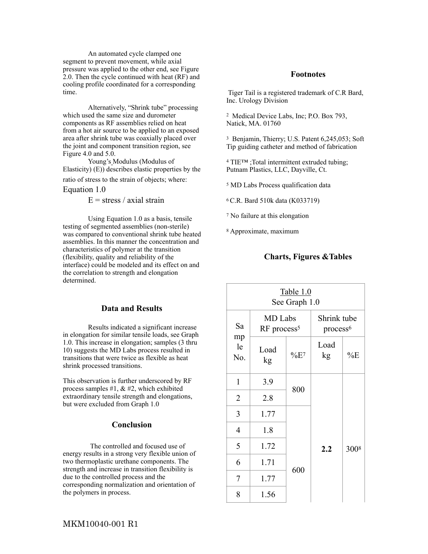An automated cycle clamped one segment to prevent movement, while axial pressure was applied to the other end, see Figure 2.0. Then the cycle continued with heat (RF) and cooling profile coordinated for a corresponding time.

Alternatively, "Shrink tube" processing which used the same size and durometer components as RF assemblies relied on heat from a hot air source to be applied to an exposed area after shrink tube was coaxially placed over the joint and component transition region, see Figure 4.0 and 5.0.

Young's Modulus (Modulus of Elasticity) (E)) describes elastic properties by the

ratio of stress to the strain of objects; where:

Equation 1.0

 $E =$  stress / axial strain

Using Equation 1.0 as a basis, tensile testing of segmented assemblies (non-sterile) was compared to conventional shrink tube heated assemblies. In this manner the concentration and characteristics of polymer at the transition (flexibility, quality and reliability of the interface) could be modeled and its effect on and the correlation to strength and elongation determined.

#### **Data and Results**

Results indicated a significant increase in elongation for similar tensile loads, see Graph 1.0. This increase in elongation; samples (3 thru 10) suggests the MD Labs process resulted in transitions that were twice as flexible as heat shrink processed transitions.

This observation is further underscored by RF process samples #1,  $&$  #2, which exhibited extraordinary tensile strength and elongations, but were excluded from Graph 1.0

#### **Conclusion**

The controlled and focused use of energy results in a strong very flexible union of two thermoplastic urethane components. The strength and increase in transition flexibility is due to the controlled process and the corresponding normalization and orientation of the polymers in process.

#### **Footnotes**

 Tiger Tail is a registered trademark of C.R Bard, Inc. Urology Division

2 Medical Device Labs, Inc; P.O. Box 793, Natick, MA. 01760

3 Benjamin, Thierry; U.S. Patent 6,245,053; Soft Tip guiding catheter and method of fabrication

4 TIE™ ;Total intermittent extruded tubing; Putnam Plastics, LLC, Dayville, Ct.

5 MD Labs Process qualification data

6 C.R. Bard 510k data (K033719)

7 No failure at this elongation

8 Approximate, maximum

### **Charts, Figures &Tables**

| Table 1.0<br>See Graph 1.0 |                                    |                    |                                     |       |  |
|----------------------------|------------------------------------|--------------------|-------------------------------------|-------|--|
| Sa<br>mp<br>le<br>No.      | MD Labs<br>RF process <sup>5</sup> |                    | Shrink tube<br>process <sup>6</sup> |       |  |
|                            | Load<br>kg                         | $\%E$ <sup>7</sup> | Load<br>kg                          | $\%E$ |  |
| $\mathbf{1}$               | 3.9                                | 800                |                                     |       |  |
| $\overline{2}$             | 2.8                                |                    |                                     |       |  |
| 3                          | 1.77                               |                    |                                     |       |  |
| 4                          | 1.8                                |                    |                                     |       |  |
| 5                          | 1.72                               | 600                | 2.2                                 | 3008  |  |
| 6                          | 1.71                               |                    |                                     |       |  |
| 7                          | 1.77                               |                    |                                     |       |  |
| 8                          | 1.56                               |                    |                                     |       |  |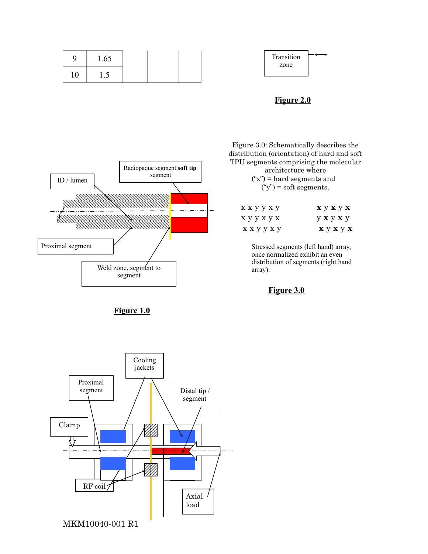

## **Figure 2.0**



**Figure 1.0** 

Figure 3.0: Schematically describes the distribution (orientation) of hard and soft TPU segments comprising the molecular architecture where  $("x")$  = hard segments and

 $(y") = soft segments.$ 

| ххууху | $\mathbf{x} \times \mathbf{y} \times \mathbf{x}$         |
|--------|----------------------------------------------------------|
| хуухух | $y \mathbf{x} y \mathbf{x} y$                            |
| ххууху | $\mathbf{x} \mathbf{y} \mathbf{x} \mathbf{y} \mathbf{x}$ |

Stressed segments (left hand) array, once normalized exhibit an even distribution of segments (right hand array).

**Figure 3.0**